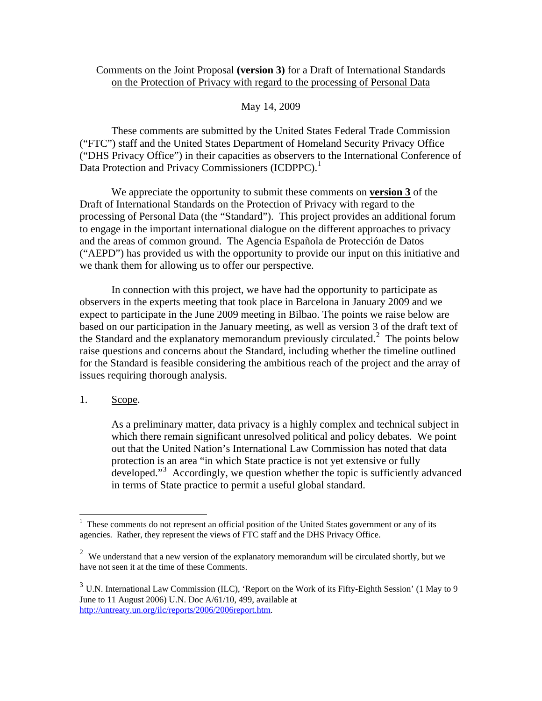### Comments on the Joint Proposal **(version 3)** for a Draft of International Standards on the Protection of Privacy with regard to the processing of Personal Data

### May 14, 2009

 These comments are submitted by the United States Federal Trade Commission ("FTC") staff and the United States Department of Homeland Security Privacy Office ("DHS Privacy Office") in their capacities as observers to the International Conference of Data Protection and Privacy Commissioners (ICDPPC).<sup>[1](#page-0-0)</sup>

 We appreciate the opportunity to submit these comments on **version 3** of the Draft of International Standards on the Protection of Privacy with regard to the processing of Personal Data (the "Standard"). This project provides an additional forum to engage in the important international dialogue on the different approaches to privacy and the areas of common ground. The Agencia Española de Protección de Datos ("AEPD") has provided us with the opportunity to provide our input on this initiative and we thank them for allowing us to offer our perspective.

 In connection with this project, we have had the opportunity to participate as observers in the experts meeting that took place in Barcelona in January 2009 and we expect to participate in the June 2009 meeting in Bilbao. The points we raise below are based on our participation in the January meeting, as well as version 3 of the draft text of the Standard and the explanatory memorandum previously circulated.<sup>[2](#page-0-1)</sup> The points below raise questions and concerns about the Standard, including whether the timeline outlined for the Standard is feasible considering the ambitious reach of the project and the array of issues requiring thorough analysis.

### 1. Scope.

As a preliminary matter, data privacy is a highly complex and technical subject in which there remain significant unresolved political and policy debates. We point out that the United Nation's International Law Commission has noted that data protection is an area "in which State practice is not yet extensive or fully developed."<sup>[3](#page-0-2)</sup> Accordingly, we question whether the topic is sufficiently advanced in terms of State practice to permit a useful global standard.

<span id="page-0-0"></span><sup>&</sup>lt;sup>1</sup> These comments do not represent an official position of the United States government or any of its agencies. Rather, they represent the views of FTC staff and the DHS Privacy Office.

<span id="page-0-1"></span> $2$  We understand that a new version of the explanatory memorandum will be circulated shortly, but we have not seen it at the time of these Comments.

<span id="page-0-2"></span><sup>3</sup> U.N. International Law Commission (ILC), 'Report on the Work of its Fifty-Eighth Session' (1 May to 9 June to 11 August 2006) U.N. Doc A/61/10, 499, available at [http://untreaty.un.org/ilc/reports/2006/2006report.htm.](http://untreaty.un.org/ilc/reports/2006/2006report.htm)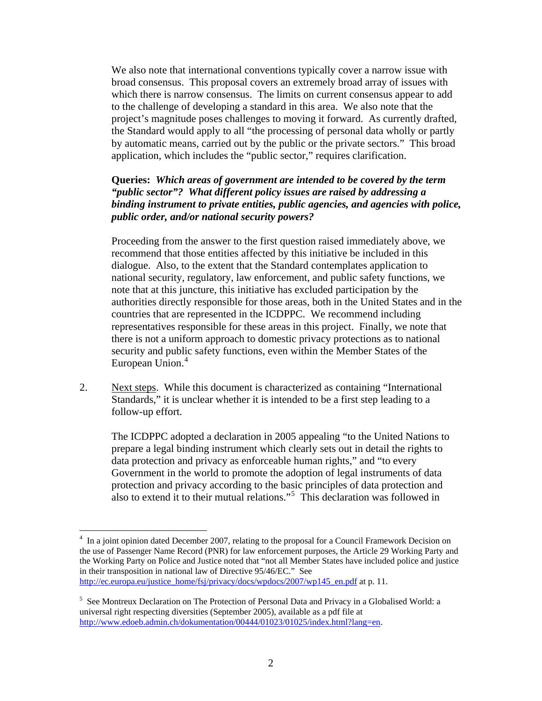We also note that international conventions typically cover a narrow issue with broad consensus. This proposal covers an extremely broad array of issues with which there is narrow consensus. The limits on current consensus appear to add to the challenge of developing a standard in this area. We also note that the project's magnitude poses challenges to moving it forward. As currently drafted, the Standard would apply to all "the processing of personal data wholly or partly by automatic means, carried out by the public or the private sectors." This broad application, which includes the "public sector," requires clarification.

## **Queries:** *Which areas of government are intended to be covered by the term "public sector"? What different policy issues are raised by addressing a binding instrument to private entities, public agencies, and agencies with police, public order, and/or national security powers?*

 Proceeding from the answer to the first question raised immediately above, we recommend that those entities affected by this initiative be included in this dialogue. Also, to the extent that the Standard contemplates application to national security, regulatory, law enforcement, and public safety functions, we note that at this juncture, this initiative has excluded participation by the authorities directly responsible for those areas, both in the United States and in the countries that are represented in the ICDPPC. We recommend including representatives responsible for these areas in this project. Finally, we note that there is not a uniform approach to domestic privacy protections as to national security and public safety functions, even within the Member States of the European Union.<sup>[4](#page-1-0)</sup>

2. Next steps. While this document is characterized as containing "International Standards," it is unclear whether it is intended to be a first step leading to a follow-up effort.

The ICDPPC adopted a declaration in 2005 appealing "to the United Nations to prepare a legal binding instrument which clearly sets out in detail the rights to data protection and privacy as enforceable human rights," and "to every Government in the world to promote the adoption of legal instruments of data protection and privacy according to the basic principles of data protection and also to extend it to their mutual relations."<sup>[5](#page-1-1)</sup> This declaration was followed in

<span id="page-1-0"></span><sup>&</sup>lt;sup>4</sup> In a joint opinion dated December 2007, relating to the proposal for a Council Framework Decision on the use of Passenger Name Record (PNR) for law enforcement purposes, the Article 29 Working Party and the Working Party on Police and Justice noted that "not all Member States have included police and justice in their transposition in national law of Directive 95/46/EC." See [http://ec.europa.eu/justice\\_home/fsj/privacy/docs/wpdocs/2007/wp145\\_en.pdf](http://ec.europa.eu/justice_home/fsj/privacy/docs/wpdocs/2007/wp145_en.pdf) at p. 11.

<span id="page-1-1"></span><sup>&</sup>lt;sup>5</sup> See Montreux Declaration on The Protection of Personal Data and Privacy in a Globalised World: a universal right respecting diversities (September 2005), available as a pdf file at <http://www.edoeb.admin.ch/dokumentation/00444/01023/01025/index.html?lang=en>.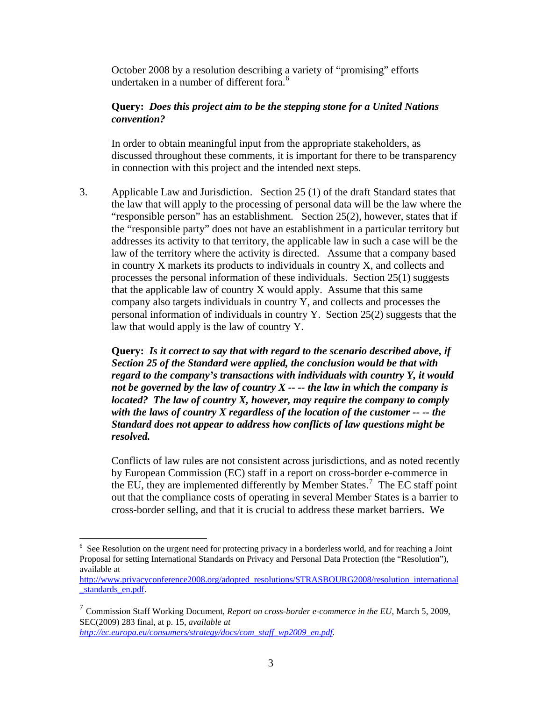October 2008 by a resolution describing a variety of "promising" efforts undertaken in a number of different fora.<sup>[6](#page-2-0)</sup>

## **Query:** *Does this project aim to be the stepping stone for a United Nations convention?*

In order to obtain meaningful input from the appropriate stakeholders, as discussed throughout these comments, it is important for there to be transparency in connection with this project and the intended next steps.

3. Applicable Law and Jurisdiction. Section 25 (1) of the draft Standard states that the law that will apply to the processing of personal data will be the law where the "responsible person" has an establishment. Section 25(2), however, states that if the "responsible party" does not have an establishment in a particular territory but addresses its activity to that territory, the applicable law in such a case will be the law of the territory where the activity is directed. Assume that a company based in country X markets its products to individuals in country X, and collects and processes the personal information of these individuals. Section 25(1) suggests that the applicable law of country  $X$  would apply. Assume that this same company also targets individuals in country Y, and collects and processes the personal information of individuals in country Y. Section 25(2) suggests that the law that would apply is the law of country Y.

**Query:** *Is it correct to say that with regard to the scenario described above, if Section 25 of the Standard were applied, the conclusion would be that with regard to the company's transactions with individuals with country Y, it would not be governed by the law of country X -- -- the law in which the company is located? The law of country X, however, may require the company to comply with the laws of country X regardless of the location of the customer -- -- the Standard does not appear to address how conflicts of law questions might be resolved.* 

Conflicts of law rules are not consistent across jurisdictions, and as noted recently by European Commission (EC) staff in a report on cross-border e-commerce in the EU, they are implemented differently by Member States.<sup>[7](#page-2-1)</sup> The EC staff point out that the compliance costs of operating in several Member States is a barrier to cross-border selling, and that it is crucial to address these market barriers. We

<span id="page-2-0"></span><sup>&</sup>lt;sup>6</sup> See Resolution on the urgent need for protecting privacy in a borderless world, and for reaching a Joint Proposal for setting International Standards on Privacy and Personal Data Protection (the "Resolution"), available at

[http://www.privacyconference2008.org/adopted\\_resolutions/STRASBOURG2008/resolution\\_international](http://www.privacyconference2008.org/adopted_resolutions/STRASBOURG2008/resolution_international_standards_en.pdf) standards en.pdf.

<span id="page-2-1"></span><sup>7</sup> Commission Staff Working Document, *Report on cross-border e-commerce in the EU,* March 5, 2009, SEC(2009) 283 final, at p. 15, *available at [http://ec.europa.eu/consumers/strategy/docs/com\\_staff\\_wp2009\\_en.pdf.](http://ec.europa.eu/consumers/strategy/docs/com_staff_wp2009_en.pdf)*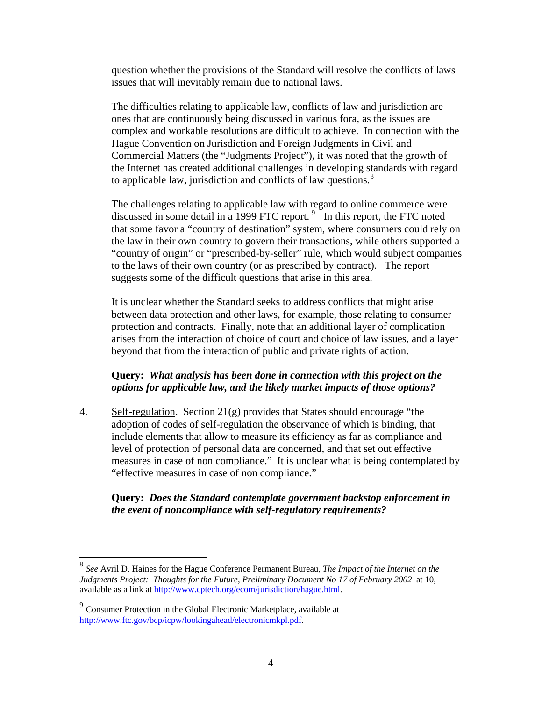question whether the provisions of the Standard will resolve the conflicts of laws issues that will inevitably remain due to national laws.

 The difficulties relating to applicable law, conflicts of law and jurisdiction are ones that are continuously being discussed in various fora, as the issues are complex and workable resolutions are difficult to achieve. In connection with the Hague Convention on Jurisdiction and Foreign Judgments in Civil and Commercial Matters (the "Judgments Project"), it was noted that the growth of the Internet has created additional challenges in developing standards with regard to applicable law, jurisdiction and conflicts of law questions.<sup>[8](#page-3-0)</sup>

The challenges relating to applicable law with regard to online commerce were discussed in some detail in a 1[9](#page-3-1)99 FTC report.<sup>9</sup> In this report, the FTC noted that some favor a "country of destination" system, where consumers could rely on the law in their own country to govern their transactions, while others supported a "country of origin" or "prescribed-by-seller" rule, which would subject companies to the laws of their own country (or as prescribed by contract). The report suggests some of the difficult questions that arise in this area.

It is unclear whether the Standard seeks to address conflicts that might arise between data protection and other laws, for example, those relating to consumer protection and contracts. Finally, note that an additional layer of complication arises from the interaction of choice of court and choice of law issues, and a layer beyond that from the interaction of public and private rights of action.

## **Query:** *What analysis has been done in connection with this project on the options for applicable law, and the likely market impacts of those options?*

4. Self-regulation. Section  $21(g)$  provides that States should encourage "the adoption of codes of self-regulation the observance of which is binding, that include elements that allow to measure its efficiency as far as compliance and level of protection of personal data are concerned, and that set out effective measures in case of non compliance." It is unclear what is being contemplated by "effective measures in case of non compliance."

## **Query:** *Does the Standard contemplate government backstop enforcement in the event of noncompliance with self-regulatory requirements?*

<span id="page-3-0"></span><sup>8</sup> *See* Avril D. Haines for the Hague Conference Permanent Bureau, *The Impact of the Internet on the Judgments Project: Thoughts for the Future*, *Preliminary Document No 17 of February 2002* at 10, available as a link at<http://www.cptech.org/ecom/jurisdiction/hague.html>.

<span id="page-3-1"></span><sup>9</sup> Consumer Protection in the Global Electronic Marketplace, available at [http://www.ftc.gov/bcp/icpw/lookingahead/electronicmkpl.pdf.](http://www.ftc.gov/bcp/icpw/lookingahead/electronicmkpl.pdf)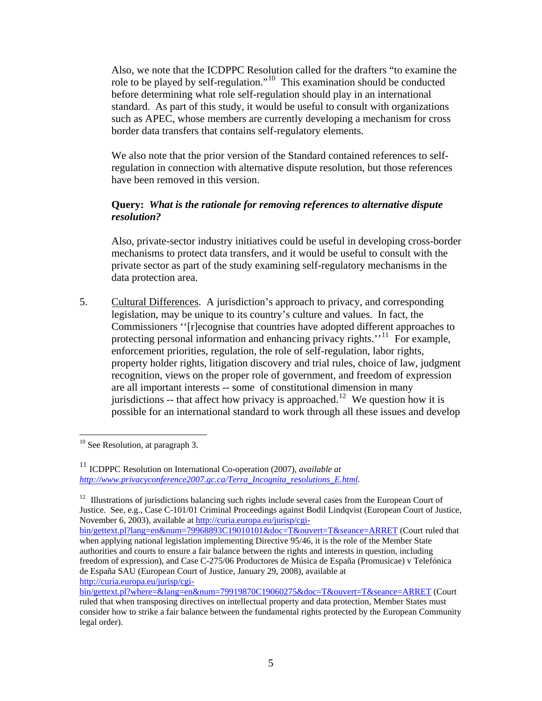Also, we note that the ICDPPC Resolution called for the drafters "to examine the role to be played by self-regulation."[10](#page-4-0) This examination should be conducted before determining what role self-regulation should play in an international standard. As part of this study, it would be useful to consult with organizations such as APEC, whose members are currently developing a mechanism for cross border data transfers that contains self-regulatory elements.

 We also note that the prior version of the Standard contained references to selfregulation in connection with alternative dispute resolution, but those references have been removed in this version.

# **Query:** *What is the rationale for removing references to alternative dispute resolution?*

 Also, private-sector industry initiatives could be useful in developing cross-border mechanisms to protect data transfers, and it would be useful to consult with the private sector as part of the study examining self-regulatory mechanisms in the data protection area.

5. Cultural Differences. A jurisdiction's approach to privacy, and corresponding legislation, may be unique to its country's culture and values. In fact, the Commissioners ''[r]ecognise that countries have adopted different approaches to protecting personal information and enhancing privacy rights.''<sup>[11](#page-4-1)</sup> For example, enforcement priorities, regulation, the role of self-regulation, labor rights, property holder rights, litigation discovery and trial rules, choice of law, judgment recognition, views on the proper role of government, and freedom of expression are all important interests -- some of constitutional dimension in many jurisdictions -- that affect how privacy is approached.<sup>[12](#page-4-2)</sup> We question how it is possible for an international standard to work through all these issues and develop

<u>.</u>

<span id="page-4-2"></span><sup>12</sup> Illustrations of jurisdictions balancing such rights include several cases from the European Court of Justice. See, e.g., Case C-101/01 Criminal Proceedings against Bodil Lindqvist (European Court of Justice, November 6, 2003), available at [http://curia.europa.eu/jurisp/cgi-](http://curia.europa.eu/jurisp/cgi-bin/gettext.pl?lang=en&num=79968893C19010101&doc=T&ouvert=T&seance=ARRET)

<span id="page-4-0"></span> $10$  See Resolution, at paragraph 3.

<span id="page-4-1"></span><sup>&</sup>lt;sup>11</sup> ICDPPC Resolution on International Co-operation (2007), *available at [http://www.privacyconference2007.gc.ca/Terra\\_Incognita\\_resolutions\\_E.html](http://www.privacyconference2007.gc.ca/Terra_Incognita_resolutions_E.html).* 

[bin/gettext.pl?lang=en&num=79968893C19010101&doc=T&ouvert=T&seance=ARRET](http://curia.europa.eu/jurisp/cgi-bin/gettext.pl?lang=en&num=79968893C19010101&doc=T&ouvert=T&seance=ARRET) (Court ruled that when applying national legislation implementing Directive 95/46, it is the role of the Member State authorities and courts to ensure a fair balance between the rights and interests in question, including freedom of expression), and Case C-275/06 Productores de Música de España (Promusicae) v Telefónica de España SAU (European Court of Justice, January 29, 2008), available at [http://curia.europa.eu/jurisp/cgi-](http://curia.europa.eu/jurisp/cgi-bin/gettext.pl?where=&lang=en&num=79919870C19060275&doc=T&ouvert=T&seance=ARRET)

[bin/gettext.pl?where=&lang=en&num=79919870C19060275&doc=T&ouvert=T&seance=ARRET](http://curia.europa.eu/jurisp/cgi-bin/gettext.pl?where=&lang=en&num=79919870C19060275&doc=T&ouvert=T&seance=ARRET) (Court ruled that when transposing directives on intellectual property and data protection, Member States must consider how to strike a fair balance between the fundamental rights protected by the European Community legal order).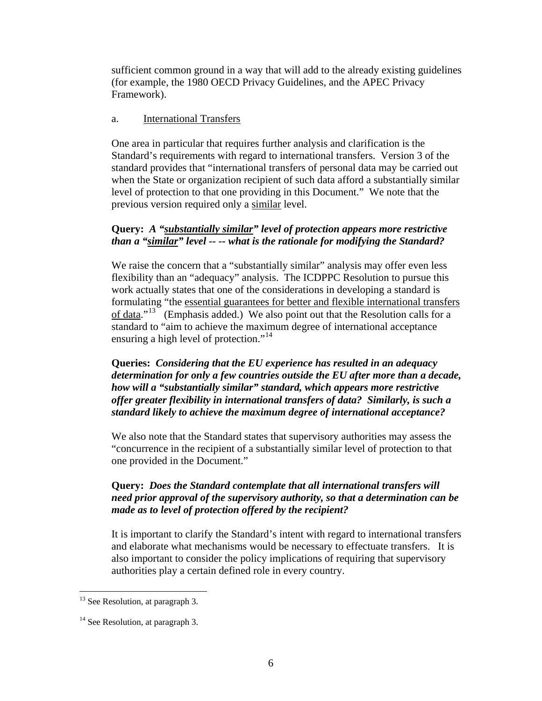sufficient common ground in a way that will add to the already existing guidelines (for example, the 1980 OECD Privacy Guidelines, and the APEC Privacy Framework).

### a. International Transfers

One area in particular that requires further analysis and clarification is the Standard's requirements with regard to international transfers. Version 3 of the standard provides that "international transfers of personal data may be carried out when the State or organization recipient of such data afford a substantially similar level of protection to that one providing in this Document." We note that the previous version required only a similar level.

# **Query:** *A "substantially similar" level of protection appears more restrictive than a "similar" level -- -- what is the rationale for modifying the Standard?*

We raise the concern that a "substantially similar" analysis may offer even less flexibility than an "adequacy" analysis. The ICDPPC Resolution to pursue this work actually states that one of the considerations in developing a standard is formulating "the essential guarantees for better and flexible international transfers of data." $13\degree$  $13\degree$  (Emphasis added.) We also point out that the Resolution calls for a standard to "aim to achieve the maximum degree of international acceptance ensuring a high level of protection."<sup>[14](#page-5-1)</sup>

 **Queries:** *Considering that the EU experience has resulted in an adequacy determination for only a few countries outside the EU after more than a decade, how will a "substantially similar" standard, which appears more restrictive offer greater flexibility in international transfers of data? Similarly, is such a standard likely to achieve the maximum degree of international acceptance?* 

We also note that the Standard states that supervisory authorities may assess the "concurrence in the recipient of a substantially similar level of protection to that one provided in the Document."

# **Query:** *Does the Standard contemplate that all international transfers will need prior approval of the supervisory authority, so that a determination can be made as to level of protection offered by the recipient?*

It is important to clarify the Standard's intent with regard to international transfers and elaborate what mechanisms would be necessary to effectuate transfers. It is also important to consider the policy implications of requiring that supervisory authorities play a certain defined role in every country.

<u>.</u>

<span id="page-5-0"></span> $13$  See Resolution, at paragraph 3.

<span id="page-5-1"></span> $14$  See Resolution, at paragraph 3.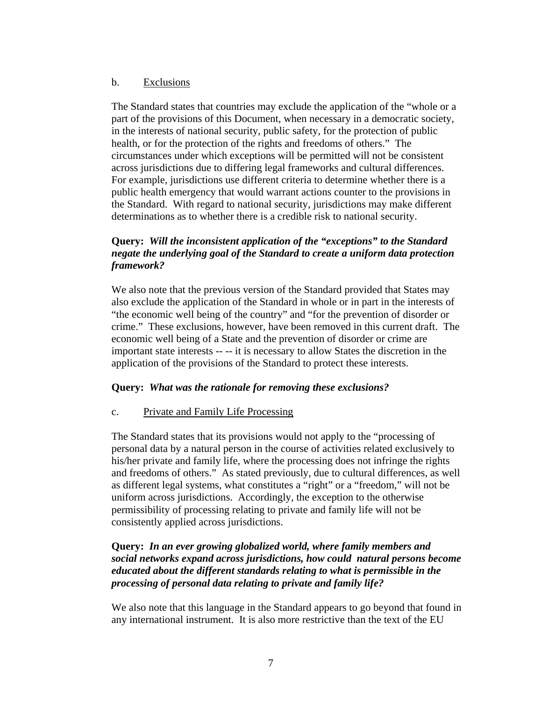### b. Exclusions

 The Standard states that countries may exclude the application of the "whole or a part of the provisions of this Document, when necessary in a democratic society, in the interests of national security, public safety, for the protection of public health, or for the protection of the rights and freedoms of others." The circumstances under which exceptions will be permitted will not be consistent across jurisdictions due to differing legal frameworks and cultural differences. For example, jurisdictions use different criteria to determine whether there is a public health emergency that would warrant actions counter to the provisions in the Standard. With regard to national security, jurisdictions may make different determinations as to whether there is a credible risk to national security.

# **Query:** *Will the inconsistent application of the "exceptions" to the Standard negate the underlying goal of the Standard to create a uniform data protection framework?*

We also note that the previous version of the Standard provided that States may also exclude the application of the Standard in whole or in part in the interests of "the economic well being of the country" and "for the prevention of disorder or crime." These exclusions, however, have been removed in this current draft. The economic well being of a State and the prevention of disorder or crime are important state interests -- -- it is necessary to allow States the discretion in the application of the provisions of the Standard to protect these interests.

# **Query:** *What was the rationale for removing these exclusions?*

### c. Private and Family Life Processing

 The Standard states that its provisions would not apply to the "processing of personal data by a natural person in the course of activities related exclusively to his/her private and family life, where the processing does not infringe the rights and freedoms of others." As stated previously, due to cultural differences, as well as different legal systems, what constitutes a "right" or a "freedom," will not be uniform across jurisdictions. Accordingly, the exception to the otherwise permissibility of processing relating to private and family life will not be consistently applied across jurisdictions.

# **Query:** *In an ever growing globalized world, where family members and social networks expand across jurisdictions, how could natural persons become educated about the different standards relating to what is permissible in the processing of personal data relating to private and family life?*

We also note that this language in the Standard appears to go beyond that found in any international instrument. It is also more restrictive than the text of the EU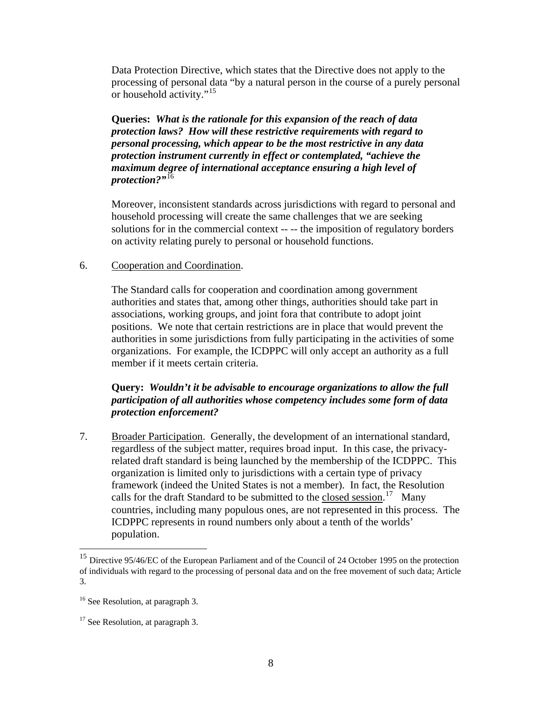Data Protection Directive, which states that the Directive does not apply to the processing of personal data "by a natural person in the course of a purely personal or household activity."<sup>[15](#page-7-0)</sup>

**Queries:** *What is the rationale for this expansion of the reach of data protection laws? How will these restrictive requirements with regard to personal processing, which appear to be the most restrictive in any data protection instrument currently in effect or contemplated, "achieve the maximum degree of international acceptance ensuring a high level of protection?"*[16](#page-7-1)

Moreover, inconsistent standards across jurisdictions with regard to personal and household processing will create the same challenges that we are seeking solutions for in the commercial context -- -- the imposition of regulatory borders on activity relating purely to personal or household functions.

### 6. Cooperation and Coordination.

 The Standard calls for cooperation and coordination among government authorities and states that, among other things, authorities should take part in associations, working groups, and joint fora that contribute to adopt joint positions. We note that certain restrictions are in place that would prevent the authorities in some jurisdictions from fully participating in the activities of some organizations. For example, the ICDPPC will only accept an authority as a full member if it meets certain criteria.

## **Query:** *Wouldn't it be advisable to encourage organizations to allow the full participation of all authorities whose competency includes some form of data protection enforcement?*

7. Broader Participation. Generally, the development of an international standard, regardless of the subject matter, requires broad input. In this case, the privacyrelated draft standard is being launched by the membership of the ICDPPC. This organization is limited only to jurisdictions with a certain type of privacy framework (indeed the United States is not a member). In fact, the Resolution calls for the draft Standard to be submitted to the closed session.<sup>[17](#page-7-2)</sup> Many countries, including many populous ones, are not represented in this process. The ICDPPC represents in round numbers only about a tenth of the worlds' population.

<span id="page-7-0"></span><sup>&</sup>lt;sup>15</sup> Directive 95/46/EC of the European Parliament and of the Council of 24 October 1995 on the protection of individuals with regard to the processing of personal data and on the free movement of such data; Article 3.

<span id="page-7-1"></span><sup>&</sup>lt;sup>16</sup> See Resolution, at paragraph 3.

<span id="page-7-2"></span><sup>&</sup>lt;sup>17</sup> See Resolution, at paragraph 3.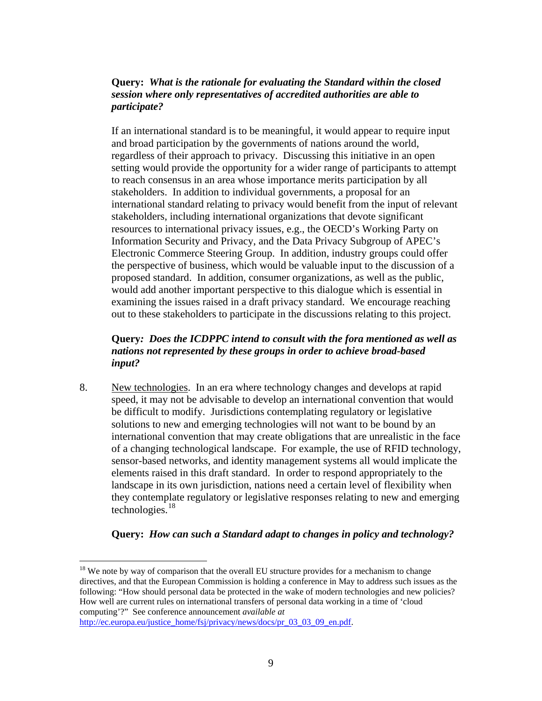## **Query:** *What is the rationale for evaluating the Standard within the closed session where only representatives of accredited authorities are able to participate?*

If an international standard is to be meaningful, it would appear to require input and broad participation by the governments of nations around the world, regardless of their approach to privacy. Discussing this initiative in an open setting would provide the opportunity for a wider range of participants to attempt to reach consensus in an area whose importance merits participation by all stakeholders. In addition to individual governments, a proposal for an international standard relating to privacy would benefit from the input of relevant stakeholders, including international organizations that devote significant resources to international privacy issues, e.g., the OECD's Working Party on Information Security and Privacy, and the Data Privacy Subgroup of APEC's Electronic Commerce Steering Group. In addition, industry groups could offer the perspective of business, which would be valuable input to the discussion of a proposed standard. In addition, consumer organizations, as well as the public, would add another important perspective to this dialogue which is essential in examining the issues raised in a draft privacy standard. We encourage reaching out to these stakeholders to participate in the discussions relating to this project.

## **Query***: Does the ICDPPC intend to consult with the fora mentioned as well as nations not represented by these groups in order to achieve broad-based input?*

8. New technologies. In an era where technology changes and develops at rapid speed, it may not be advisable to develop an international convention that would be difficult to modify. Jurisdictions contemplating regulatory or legislative solutions to new and emerging technologies will not want to be bound by an international convention that may create obligations that are unrealistic in the face of a changing technological landscape. For example, the use of RFID technology, sensor-based networks, and identity management systems all would implicate the elements raised in this draft standard. In order to respond appropriately to the landscape in its own jurisdiction, nations need a certain level of flexibility when they contemplate regulatory or legislative responses relating to new and emerging technologies. $18$ 

# **Query:** *How can such a Standard adapt to changes in policy and technology?*

<span id="page-8-0"></span><sup>&</sup>lt;u>.</u>  $18$  We note by way of comparison that the overall EU structure provides for a mechanism to change directives, and that the European Commission is holding a conference in May to address such issues as the following: "How should personal data be protected in the wake of modern technologies and new policies? How well are current rules on international transfers of personal data working in a time of 'cloud computing'?" See conference announcement *available at*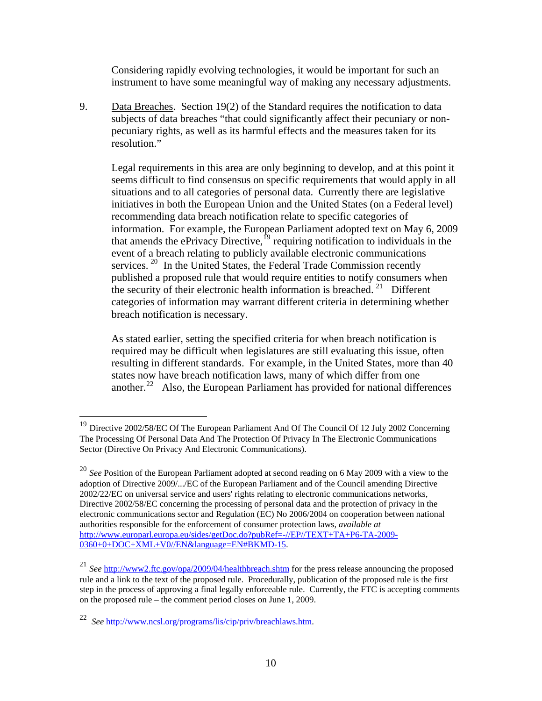Considering rapidly evolving technologies, it would be important for such an instrument to have some meaningful way of making any necessary adjustments.

9. Data Breaches. Section 19(2) of the Standard requires the notification to data subjects of data breaches "that could significantly affect their pecuniary or nonpecuniary rights, as well as its harmful effects and the measures taken for its resolution."

 Legal requirements in this area are only beginning to develop, and at this point it seems difficult to find consensus on specific requirements that would apply in all situations and to all categories of personal data. Currently there are legislative initiatives in both the European Union and the United States (on a Federal level) recommending data breach notification relate to specific categories of information. For example, the European Parliament adopted text on May 6, 2009 that amends the ePrivacy Directive,  $^{19}$  $^{19}$  $^{19}$  requiring notification to individuals in the event of a breach relating to publicly available electronic communications services.  $20$  In the United States, the Federal Trade Commission recently published a proposed rule that would require entities to notify consumers when the security of their electronic health information is breached.<sup>[21](#page-9-2)</sup> Different categories of information may warrant different criteria in determining whether breach notification is necessary.

 As stated earlier, setting the specified criteria for when breach notification is required may be difficult when legislatures are still evaluating this issue, often resulting in different standards. For example, in the United States, more than 40 states now have breach notification laws, many of which differ from one another.<sup>[22](#page-9-3)</sup> Also, the European Parliament has provided for national differences

<span id="page-9-0"></span><sup>&</sup>lt;sup>19</sup> Directive 2002/58/EC Of The European Parliament And Of The Council Of 12 July 2002 Concerning The Processing Of Personal Data And The Protection Of Privacy In The Electronic Communications Sector (Directive On Privacy And Electronic Communications).

<span id="page-9-1"></span><sup>20</sup> *See* Position of the European Parliament adopted at second reading on 6 May 2009 with a view to the adoption of Directive 2009/.../EC of the European Parliament and of the Council amending Directive 2002/22/EC on universal service and users' rights relating to electronic communications networks, Directive 2002/58/EC concerning the processing of personal data and the protection of privacy in the electronic communications sector and Regulation (EC) No 2006/2004 on cooperation between national authorities responsible for the enforcement of consumer protection laws, *available at*  [http://www.europarl.europa.eu/sides/getDoc.do?pubRef=-//EP//TEXT+TA+P6-TA-2009-](http://www.europarl.europa.eu/sides/getDoc.do?pubRef=-//EP//TEXT+TA+P6-TA-2009-0360+0+DOC+XML+V0//EN&language=EN#BKMD-15) [0360+0+DOC+XML+V0//EN&language=EN#BKMD-15](http://www.europarl.europa.eu/sides/getDoc.do?pubRef=-//EP//TEXT+TA+P6-TA-2009-0360+0+DOC+XML+V0//EN&language=EN#BKMD-15).

<span id="page-9-2"></span><sup>21</sup> *See* <http://www2.ftc.gov/opa/2009/04/healthbreach.shtm> for the press release announcing the proposed rule and a link to the text of the proposed rule. Procedurally, publication of the proposed rule is the first step in the process of approving a final legally enforceable rule. Currently, the FTC is accepting comments on the proposed rule – the comment period closes on June 1, 2009.

<span id="page-9-3"></span><sup>22</sup> *See* <http://www.ncsl.org/programs/lis/cip/priv/breachlaws.htm>.